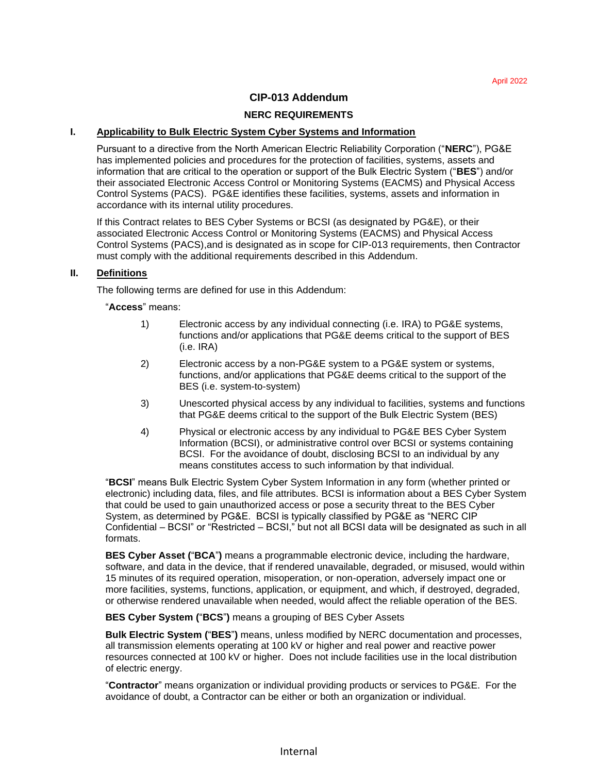## **CIP-013 Addendum**

#### **NERC REQUIREMENTS**

#### **I. Applicability to Bulk Electric System Cyber Systems and Information**

Pursuant to a directive from the North American Electric Reliability Corporation ("**NERC**"), PG&E has implemented policies and procedures for the protection of facilities, systems, assets and information that are critical to the operation or support of the Bulk Electric System ("**BES**") and/or their associated Electronic Access Control or Monitoring Systems (EACMS) and Physical Access Control Systems (PACS). PG&E identifies these facilities, systems, assets and information in accordance with its internal utility procedures.

If this Contract relates to BES Cyber Systems or BCSI (as designated by PG&E), or their associated Electronic Access Control or Monitoring Systems (EACMS) and Physical Access Control Systems (PACS),and is designated as in scope for CIP-013 requirements, then Contractor must comply with the additional requirements described in this Addendum.

### **II. Definitions**

The following terms are defined for use in this Addendum:

#### "**Access**" means:

- 1) Electronic access by any individual connecting (i.e. IRA) to PG&E systems, functions and/or applications that PG&E deems critical to the support of BES (i.e. IRA)
- 2) Electronic access by a non-PG&E system to a PG&E system or systems, functions, and/or applications that PG&E deems critical to the support of the BES (i.e. system-to-system)
- 3) Unescorted physical access by any individual to facilities, systems and functions that PG&E deems critical to the support of the Bulk Electric System (BES)
- 4) Physical or electronic access by any individual to PG&E BES Cyber System Information (BCSI), or administrative control over BCSI or systems containing BCSI. For the avoidance of doubt, disclosing BCSI to an individual by any means constitutes access to such information by that individual.

"**BCSI**" means Bulk Electric System Cyber System Information in any form (whether printed or electronic) including data, files, and file attributes. BCSI is information about a BES Cyber System that could be used to gain unauthorized access or pose a security threat to the BES Cyber System, as determined by PG&E. BCSI is typically classified by PG&E as "NERC CIP Confidential – BCSI" or "Restricted – BCSI," but not all BCSI data will be designated as such in all formats.

**BES Cyber Asset (**"**BCA**"**)** means a programmable electronic device, including the hardware, software, and data in the device, that if rendered unavailable, degraded, or misused, would within 15 minutes of its required operation, misoperation, or non-operation, adversely impact one or more facilities, systems, functions, application, or equipment, and which, if destroyed, degraded, or otherwise rendered unavailable when needed, would affect the reliable operation of the BES.

#### **BES Cyber System (**"**BCS**"**)** means a grouping of BES Cyber Assets

**Bulk Electric System (**"**BES**"**)** means, unless modified by NERC documentation and processes, all transmission elements operating at 100 kV or higher and real power and reactive power resources connected at 100 kV or higher. Does not include facilities use in the local distribution of electric energy.

"**Contractor**" means organization or individual providing products or services to PG&E. For the avoidance of doubt, a Contractor can be either or both an organization or individual.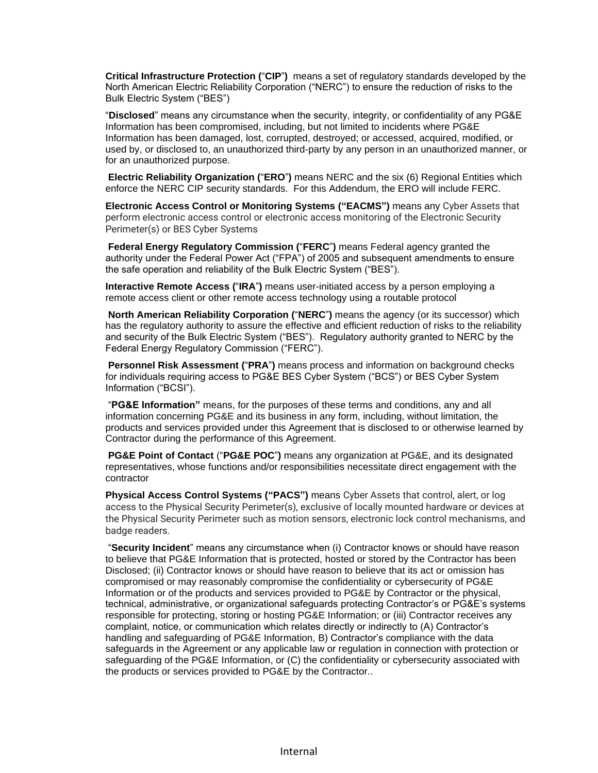**Critical Infrastructure Protection (**"**CIP**"**)** means a set of regulatory standards developed by the North American Electric Reliability Corporation ("NERC") to ensure the reduction of risks to the Bulk Electric System ("BES")

"**Disclosed**" means any circumstance when the security, integrity, or confidentiality of any PG&E Information has been compromised, including, but not limited to incidents where PG&E Information has been damaged, lost, corrupted, destroyed; or accessed, acquired, modified, or used by, or disclosed to, an unauthorized third-party by any person in an unauthorized manner, or for an unauthorized purpose.

**Electric Reliability Organization (**"**ERO**"**)** means NERC and the six (6) Regional Entities which enforce the NERC CIP security standards. For this Addendum, the ERO will include FERC.

**Electronic Access Control or Monitoring Systems ("EACMS")** means any Cyber Assets that perform electronic access control or electronic access monitoring of the Electronic Security Perimeter(s) or BES Cyber Systems

**Federal Energy Regulatory Commission (**"**FERC**"**)** means Federal agency granted the authority under the Federal Power Act ("FPA") of 2005 and subsequent amendments to ensure the safe operation and reliability of the Bulk Electric System ("BES").

**Interactive Remote Access (**"**IRA**"**)** means user-initiated access by a person employing a remote access client or other remote access technology using a routable protocol

**North American Reliability Corporation (**"**NERC**"**)** means the agency (or its successor) which has the regulatory authority to assure the effective and efficient reduction of risks to the reliability and security of the Bulk Electric System ("BES"). Regulatory authority granted to NERC by the Federal Energy Regulatory Commission ("FERC").

**Personnel Risk Assessment (**"**PRA**"**)** means process and information on background checks for individuals requiring access to PG&E BES Cyber System ("BCS") or BES Cyber System Information ("BCSI").

"**PG&E Information"** means, for the purposes of these terms and conditions, any and all information concerning PG&E and its business in any form, including, without limitation, the products and services provided under this Agreement that is disclosed to or otherwise learned by Contractor during the performance of this Agreement.

**PG&E Point of Contact** ("**PG&E POC**"**)** means any organization at PG&E, and its designated representatives, whose functions and/or responsibilities necessitate direct engagement with the contractor

**Physical Access Control Systems ("PACS")** means Cyber Assets that control, alert, or log access to the Physical Security Perimeter(s), exclusive of locally mounted hardware or devices at the Physical Security Perimeter such as motion sensors, electronic lock control mechanisms, and badge readers.

"**Security Incident**" means any circumstance when (i) Contractor knows or should have reason to believe that PG&E Information that is protected, hosted or stored by the Contractor has been Disclosed; (ii) Contractor knows or should have reason to believe that its act or omission has compromised or may reasonably compromise the confidentiality or cybersecurity of PG&E Information or of the products and services provided to PG&E by Contractor or the physical, technical, administrative, or organizational safeguards protecting Contractor's or PG&E's systems responsible for protecting, storing or hosting PG&E Information; or (iii) Contractor receives any complaint, notice, or communication which relates directly or indirectly to (A) Contractor's handling and safeguarding of PG&E Information, B) Contractor's compliance with the data safeguards in the Agreement or any applicable law or regulation in connection with protection or safeguarding of the PG&E Information, or (C) the confidentiality or cybersecurity associated with the products or services provided to PG&E by the Contractor..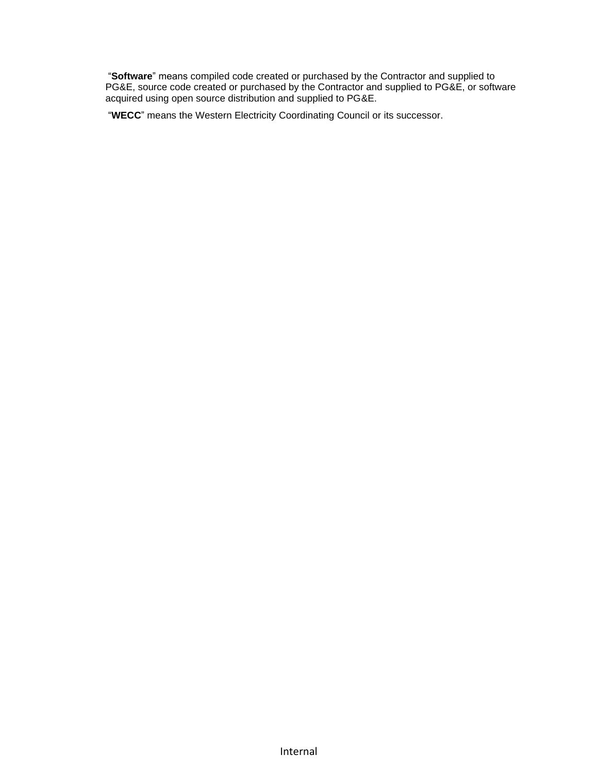"**Software**" means compiled code created or purchased by the Contractor and supplied to PG&E, source code created or purchased by the Contractor and supplied to PG&E, or software acquired using open source distribution and supplied to PG&E.

"**WECC**" means the Western Electricity Coordinating Council or its successor.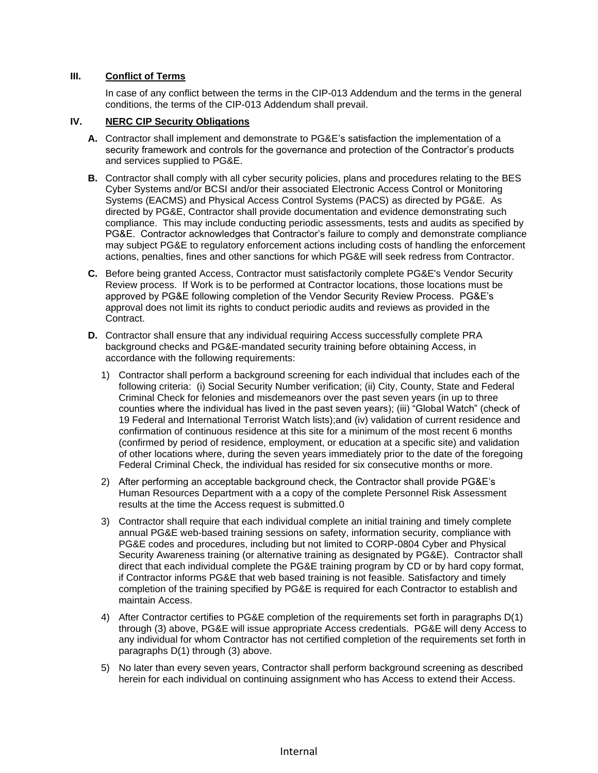# **III. Conflict of Terms**

In case of any conflict between the terms in the CIP-013 Addendum and the terms in the general conditions, the terms of the CIP-013 Addendum shall prevail.

## **IV. NERC CIP Security Obligations**

- **A.** Contractor shall implement and demonstrate to PG&E's satisfaction the implementation of a security framework and controls for the governance and protection of the Contractor's products and services supplied to PG&E.
- **B.** Contractor shall comply with all cyber security policies, plans and procedures relating to the BES Cyber Systems and/or BCSI and/or their associated Electronic Access Control or Monitoring Systems (EACMS) and Physical Access Control Systems (PACS) as directed by PG&E. As directed by PG&E, Contractor shall provide documentation and evidence demonstrating such compliance. This may include conducting periodic assessments, tests and audits as specified by PG&E. Contractor acknowledges that Contractor's failure to comply and demonstrate compliance may subject PG&E to regulatory enforcement actions including costs of handling the enforcement actions, penalties, fines and other sanctions for which PG&E will seek redress from Contractor.
- **C.** Before being granted Access, Contractor must satisfactorily complete PG&E's Vendor Security Review process. If Work is to be performed at Contractor locations, those locations must be approved by PG&E following completion of the Vendor Security Review Process. PG&E's approval does not limit its rights to conduct periodic audits and reviews as provided in the Contract.
- **D.** Contractor shall ensure that any individual requiring Access successfully complete PRA background checks and PG&E-mandated security training before obtaining Access, in accordance with the following requirements:
	- 1) Contractor shall perform a background screening for each individual that includes each of the following criteria: (i) Social Security Number verification; (ii) City, County, State and Federal Criminal Check for felonies and misdemeanors over the past seven years (in up to three counties where the individual has lived in the past seven years); (iii) "Global Watch" (check of 19 Federal and International Terrorist Watch lists);and (iv) validation of current residence and confirmation of continuous residence at this site for a minimum of the most recent 6 months (confirmed by period of residence, employment, or education at a specific site) and validation of other locations where, during the seven years immediately prior to the date of the foregoing Federal Criminal Check, the individual has resided for six consecutive months or more.
	- 2) After performing an acceptable background check, the Contractor shall provide PG&E's Human Resources Department with a a copy of the complete Personnel Risk Assessment results at the time the Access request is submitted.0
	- 3) Contractor shall require that each individual complete an initial training and timely complete annual PG&E web-based training sessions on safety, information security, compliance with PG&E codes and procedures, including but not limited to CORP-0804 Cyber and Physical Security Awareness training (or alternative training as designated by PG&E). Contractor shall direct that each individual complete the PG&E training program by CD or by hard copy format, if Contractor informs PG&E that web based training is not feasible. Satisfactory and timely completion of the training specified by PG&E is required for each Contractor to establish and maintain Access.
	- 4) After Contractor certifies to PG&E completion of the requirements set forth in paragraphs D(1) through (3) above, PG&E will issue appropriate Access credentials. PG&E will deny Access to any individual for whom Contractor has not certified completion of the requirements set forth in paragraphs D(1) through (3) above.
	- 5) No later than every seven years, Contractor shall perform background screening as described herein for each individual on continuing assignment who has Access to extend their Access.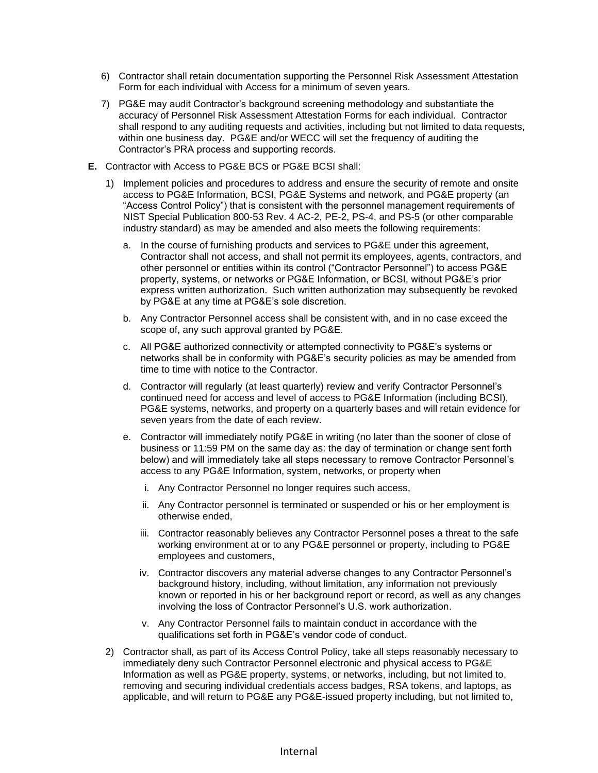- 6) Contractor shall retain documentation supporting the Personnel Risk Assessment Attestation Form for each individual with Access for a minimum of seven years.
- 7) PG&E may audit Contractor's background screening methodology and substantiate the accuracy of Personnel Risk Assessment Attestation Forms for each individual. Contractor shall respond to any auditing requests and activities, including but not limited to data requests, within one business day. PG&E and/or WECC will set the frequency of auditing the Contractor's PRA process and supporting records.
- **E.** Contractor with Access to PG&E BCS or PG&E BCSI shall:
	- 1) Implement policies and procedures to address and ensure the security of remote and onsite access to PG&E Information, BCSI, PG&E Systems and network, and PG&E property (an "Access Control Policy") that is consistent with the personnel management requirements of NIST Special Publication 800-53 Rev. 4 AC-2, PE-2, PS-4, and PS-5 (or other comparable industry standard) as may be amended and also meets the following requirements:
		- a. In the course of furnishing products and services to PG&E under this agreement, Contractor shall not access, and shall not permit its employees, agents, contractors, and other personnel or entities within its control ("Contractor Personnel") to access PG&E property, systems, or networks or PG&E Information, or BCSI, without PG&E's prior express written authorization. Such written authorization may subsequently be revoked by PG&E at any time at PG&E's sole discretion.
		- b. Any Contractor Personnel access shall be consistent with, and in no case exceed the scope of, any such approval granted by PG&E.
		- c. All PG&E authorized connectivity or attempted connectivity to PG&E's systems or networks shall be in conformity with PG&E's security policies as may be amended from time to time with notice to the Contractor.
		- d. Contractor will regularly (at least quarterly) review and verify Contractor Personnel's continued need for access and level of access to PG&E Information (including BCSI), PG&E systems, networks, and property on a quarterly bases and will retain evidence for seven years from the date of each review.
		- e. Contractor will immediately notify PG&E in writing (no later than the sooner of close of business or 11:59 PM on the same day as: the day of termination or change sent forth below) and will immediately take all steps necessary to remove Contractor Personnel's access to any PG&E Information, system, networks, or property when
			- i. Any Contractor Personnel no longer requires such access,
			- ii. Any Contractor personnel is terminated or suspended or his or her employment is otherwise ended,
			- iii. Contractor reasonably believes any Contractor Personnel poses a threat to the safe working environment at or to any PG&E personnel or property, including to PG&E employees and customers,
			- iv. Contractor discovers any material adverse changes to any Contractor Personnel's background history, including, without limitation, any information not previously known or reported in his or her background report or record, as well as any changes involving the loss of Contractor Personnel's U.S. work authorization.
			- v. Any Contractor Personnel fails to maintain conduct in accordance with the qualifications set forth in PG&E's vendor code of conduct.
	- 2) Contractor shall, as part of its Access Control Policy, take all steps reasonably necessary to immediately deny such Contractor Personnel electronic and physical access to PG&E Information as well as PG&E property, systems, or networks, including, but not limited to, removing and securing individual credentials access badges, RSA tokens, and laptops, as applicable, and will return to PG&E any PG&E-issued property including, but not limited to,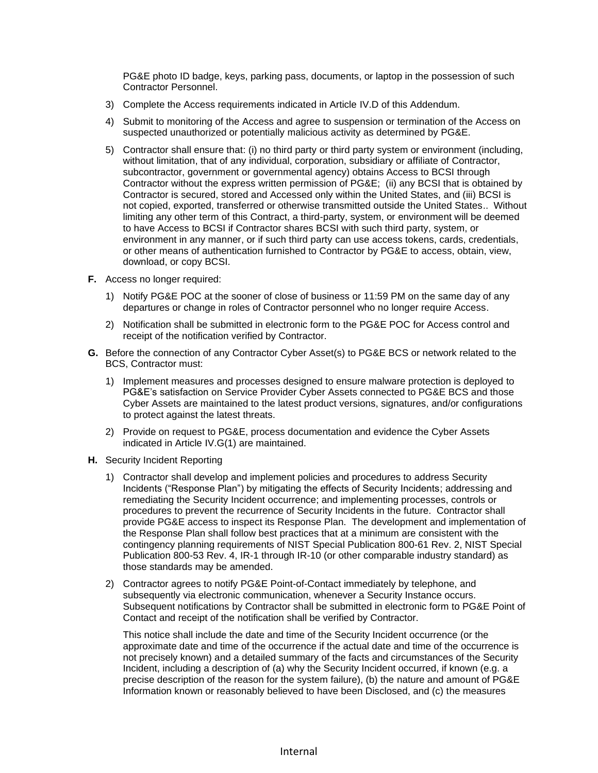PG&E photo ID badge, keys, parking pass, documents, or laptop in the possession of such Contractor Personnel.

- 3) Complete the Access requirements indicated in Article IV.D of this Addendum.
- 4) Submit to monitoring of the Access and agree to suspension or termination of the Access on suspected unauthorized or potentially malicious activity as determined by PG&E.
- 5) Contractor shall ensure that: (i) no third party or third party system or environment (including, without limitation, that of any individual, corporation, subsidiary or affiliate of Contractor, subcontractor, government or governmental agency) obtains Access to BCSI through Contractor without the express written permission of PG&E; (ii) any BCSI that is obtained by Contractor is secured, stored and Accessed only within the United States, and (iii) BCSI is not copied, exported, transferred or otherwise transmitted outside the United States.. Without limiting any other term of this Contract, a third-party, system, or environment will be deemed to have Access to BCSI if Contractor shares BCSI with such third party, system, or environment in any manner, or if such third party can use access tokens, cards, credentials, or other means of authentication furnished to Contractor by PG&E to access, obtain, view, download, or copy BCSI.
- **F.** Access no longer required:
	- 1) Notify PG&E POC at the sooner of close of business or 11:59 PM on the same day of any departures or change in roles of Contractor personnel who no longer require Access.
	- 2) Notification shall be submitted in electronic form to the PG&E POC for Access control and receipt of the notification verified by Contractor.
- **G.** Before the connection of any Contractor Cyber Asset(s) to PG&E BCS or network related to the BCS, Contractor must:
	- 1) Implement measures and processes designed to ensure malware protection is deployed to PG&E's satisfaction on Service Provider Cyber Assets connected to PG&E BCS and those Cyber Assets are maintained to the latest product versions, signatures, and/or configurations to protect against the latest threats.
	- 2) Provide on request to PG&E, process documentation and evidence the Cyber Assets indicated in Article IV.G(1) are maintained.
- **H.** Security Incident Reporting
	- 1) Contractor shall develop and implement policies and procedures to address Security Incidents ("Response Plan") by mitigating the effects of Security Incidents; addressing and remediating the Security Incident occurrence; and implementing processes, controls or procedures to prevent the recurrence of Security Incidents in the future. Contractor shall provide PG&E access to inspect its Response Plan. The development and implementation of the Response Plan shall follow best practices that at a minimum are consistent with the contingency planning requirements of NIST Special Publication 800-61 Rev. 2, NIST Special Publication 800-53 Rev. 4, IR-1 through IR-10 (or other comparable industry standard) as those standards may be amended.
	- 2) Contractor agrees to notify PG&E Point-of-Contact immediately by telephone, and subsequently via electronic communication, whenever a Security Instance occurs. Subsequent notifications by Contractor shall be submitted in electronic form to PG&E Point of Contact and receipt of the notification shall be verified by Contractor.

This notice shall include the date and time of the Security Incident occurrence (or the approximate date and time of the occurrence if the actual date and time of the occurrence is not precisely known) and a detailed summary of the facts and circumstances of the Security Incident, including a description of (a) why the Security Incident occurred, if known (e.g. a precise description of the reason for the system failure), (b) the nature and amount of PG&E Information known or reasonably believed to have been Disclosed, and (c) the measures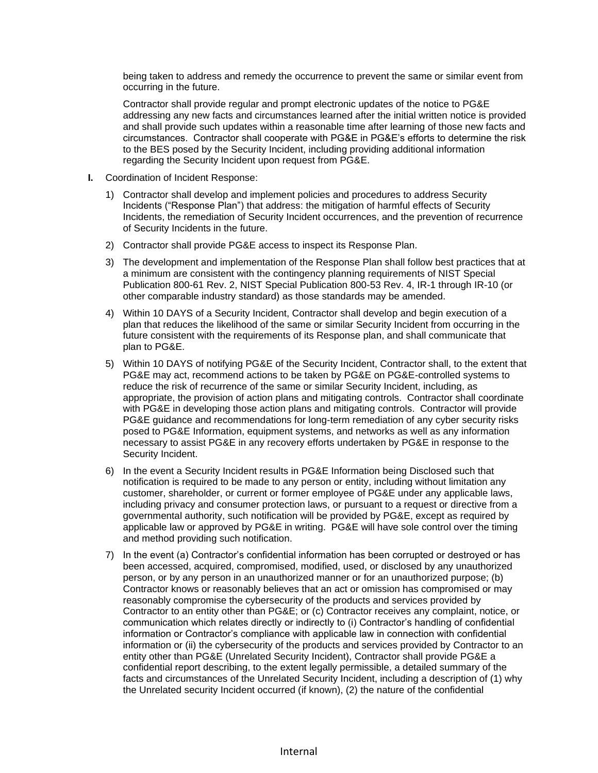being taken to address and remedy the occurrence to prevent the same or similar event from occurring in the future.

Contractor shall provide regular and prompt electronic updates of the notice to PG&E addressing any new facts and circumstances learned after the initial written notice is provided and shall provide such updates within a reasonable time after learning of those new facts and circumstances. Contractor shall cooperate with PG&E in PG&E's efforts to determine the risk to the BES posed by the Security Incident, including providing additional information regarding the Security Incident upon request from PG&E.

- **I.** Coordination of Incident Response:
	- 1) Contractor shall develop and implement policies and procedures to address Security Incidents ("Response Plan") that address: the mitigation of harmful effects of Security Incidents, the remediation of Security Incident occurrences, and the prevention of recurrence of Security Incidents in the future.
	- 2) Contractor shall provide PG&E access to inspect its Response Plan.
	- 3) The development and implementation of the Response Plan shall follow best practices that at a minimum are consistent with the contingency planning requirements of NIST Special Publication 800-61 Rev. 2, NIST Special Publication 800-53 Rev. 4, IR-1 through IR-10 (or other comparable industry standard) as those standards may be amended.
	- 4) Within 10 DAYS of a Security Incident, Contractor shall develop and begin execution of a plan that reduces the likelihood of the same or similar Security Incident from occurring in the future consistent with the requirements of its Response plan, and shall communicate that plan to PG&E.
	- 5) Within 10 DAYS of notifying PG&E of the Security Incident, Contractor shall, to the extent that PG&E may act, recommend actions to be taken by PG&E on PG&E-controlled systems to reduce the risk of recurrence of the same or similar Security Incident, including, as appropriate, the provision of action plans and mitigating controls. Contractor shall coordinate with PG&E in developing those action plans and mitigating controls. Contractor will provide PG&E guidance and recommendations for long-term remediation of any cyber security risks posed to PG&E Information, equipment systems, and networks as well as any information necessary to assist PG&E in any recovery efforts undertaken by PG&E in response to the Security Incident.
	- 6) In the event a Security Incident results in PG&E Information being Disclosed such that notification is required to be made to any person or entity, including without limitation any customer, shareholder, or current or former employee of PG&E under any applicable laws, including privacy and consumer protection laws, or pursuant to a request or directive from a governmental authority, such notification will be provided by PG&E, except as required by applicable law or approved by PG&E in writing. PG&E will have sole control over the timing and method providing such notification.
	- 7) In the event (a) Contractor's confidential information has been corrupted or destroyed or has been accessed, acquired, compromised, modified, used, or disclosed by any unauthorized person, or by any person in an unauthorized manner or for an unauthorized purpose; (b) Contractor knows or reasonably believes that an act or omission has compromised or may reasonably compromise the cybersecurity of the products and services provided by Contractor to an entity other than PG&E; or (c) Contractor receives any complaint, notice, or communication which relates directly or indirectly to (i) Contractor's handling of confidential information or Contractor's compliance with applicable law in connection with confidential information or (ii) the cybersecurity of the products and services provided by Contractor to an entity other than PG&E (Unrelated Security Incident), Contractor shall provide PG&E a confidential report describing, to the extent legally permissible, a detailed summary of the facts and circumstances of the Unrelated Security Incident, including a description of (1) why the Unrelated security Incident occurred (if known), (2) the nature of the confidential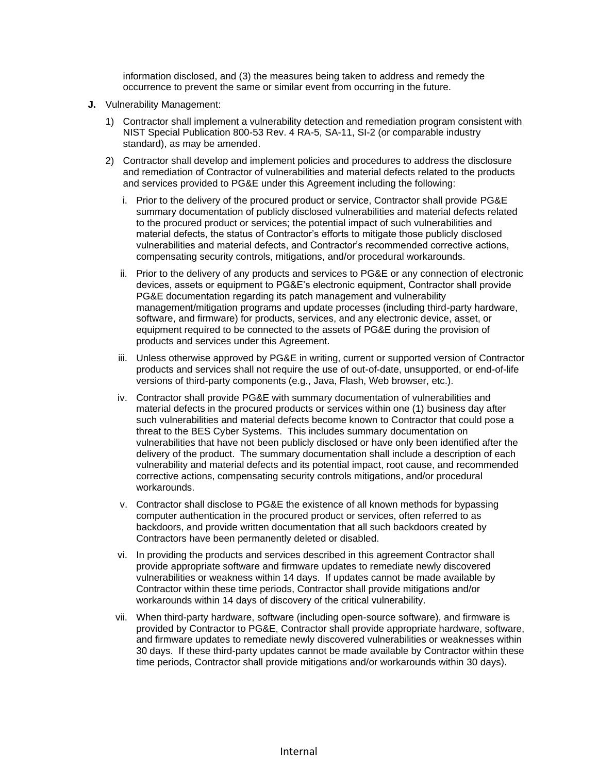information disclosed, and (3) the measures being taken to address and remedy the occurrence to prevent the same or similar event from occurring in the future.

- **J.** Vulnerability Management:
	- 1) Contractor shall implement a vulnerability detection and remediation program consistent with NIST Special Publication 800-53 Rev. 4 RA-5, SA-11, SI-2 (or comparable industry standard), as may be amended.
	- 2) Contractor shall develop and implement policies and procedures to address the disclosure and remediation of Contractor of vulnerabilities and material defects related to the products and services provided to PG&E under this Agreement including the following:
		- i. Prior to the delivery of the procured product or service, Contractor shall provide PG&E summary documentation of publicly disclosed vulnerabilities and material defects related to the procured product or services; the potential impact of such vulnerabilities and material defects, the status of Contractor's efforts to mitigate those publicly disclosed vulnerabilities and material defects, and Contractor's recommended corrective actions, compensating security controls, mitigations, and/or procedural workarounds.
		- ii. Prior to the delivery of any products and services to PG&E or any connection of electronic devices, assets or equipment to PG&E's electronic equipment, Contractor shall provide PG&E documentation regarding its patch management and vulnerability management/mitigation programs and update processes (including third-party hardware, software, and firmware) for products, services, and any electronic device, asset, or equipment required to be connected to the assets of PG&E during the provision of products and services under this Agreement.
		- iii. Unless otherwise approved by PG&E in writing, current or supported version of Contractor products and services shall not require the use of out-of-date, unsupported, or end-of-life versions of third-party components (e.g., Java, Flash, Web browser, etc.).
		- iv. Contractor shall provide PG&E with summary documentation of vulnerabilities and material defects in the procured products or services within one (1) business day after such vulnerabilities and material defects become known to Contractor that could pose a threat to the BES Cyber Systems. This includes summary documentation on vulnerabilities that have not been publicly disclosed or have only been identified after the delivery of the product. The summary documentation shall include a description of each vulnerability and material defects and its potential impact, root cause, and recommended corrective actions, compensating security controls mitigations, and/or procedural workarounds.
		- v. Contractor shall disclose to PG&E the existence of all known methods for bypassing computer authentication in the procured product or services, often referred to as backdoors, and provide written documentation that all such backdoors created by Contractors have been permanently deleted or disabled.
		- vi. In providing the products and services described in this agreement Contractor shall provide appropriate software and firmware updates to remediate newly discovered vulnerabilities or weakness within 14 days. If updates cannot be made available by Contractor within these time periods, Contractor shall provide mitigations and/or workarounds within 14 days of discovery of the critical vulnerability.
		- vii. When third-party hardware, software (including open-source software), and firmware is provided by Contractor to PG&E, Contractor shall provide appropriate hardware, software, and firmware updates to remediate newly discovered vulnerabilities or weaknesses within 30 days. If these third-party updates cannot be made available by Contractor within these time periods, Contractor shall provide mitigations and/or workarounds within 30 days).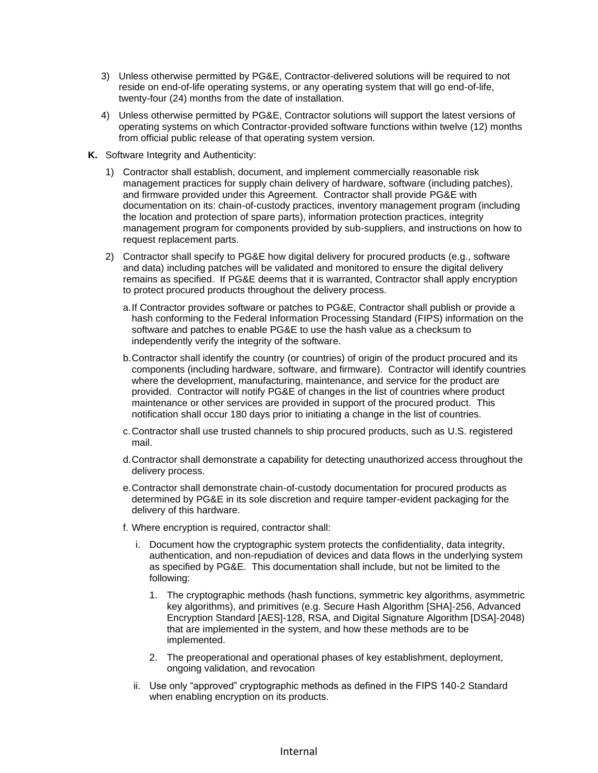- 3) Unless otherwise permitted by PG&E, Contractor-delivered solutions will be required to not reside on end-of-life operating systems, or any operating system that will go end-of-life, twenty-four (24) months from the date of installation.
- 4) Unless otherwise permitted by PG&E, Contractor solutions will support the latest versions of operating systems on which Contractor-provided software functions within twelve (12) months from official public release of that operating system version.
- **K.** Software Integrity and Authenticity:
	- 1) Contractor shall establish, document, and implement commercially reasonable risk management practices for supply chain delivery of hardware, software (including patches), and firmware provided under this Agreement. Contractor shall provide PG&E with documentation on its: chain-of-custody practices, inventory management program (including the location and protection of spare parts), information protection practices, integrity management program for components provided by sub-suppliers, and instructions on how to request replacement parts.
	- 2) Contractor shall specify to PG&E how digital delivery for procured products (e.g., software and data) including patches will be validated and monitored to ensure the digital delivery remains as specified. If PG&E deems that it is warranted, Contractor shall apply encryption to protect procured products throughout the delivery process.
		- a.If Contractor provides software or patches to PG&E, Contractor shall publish or provide a hash conforming to the Federal Information Processing Standard (FIPS) information on the software and patches to enable PG&E to use the hash value as a checksum to independently verify the integrity of the software.
		- b.Contractor shall identify the country (or countries) of origin of the product procured and its components (including hardware, software, and firmware). Contractor will identify countries where the development, manufacturing, maintenance, and service for the product are provided. Contractor will notify PG&E of changes in the list of countries where product maintenance or other services are provided in support of the procured product. This notification shall occur 180 days prior to initiating a change in the list of countries.
		- c.Contractor shall use trusted channels to ship procured products, such as U.S. registered mail.
		- d.Contractor shall demonstrate a capability for detecting unauthorized access throughout the delivery process.
		- e.Contractor shall demonstrate chain-of-custody documentation for procured products as determined by PG&E in its sole discretion and require tamper-evident packaging for the delivery of this hardware.
		- f. Where encryption is required, contractor shall:
			- i. Document how the cryptographic system protects the confidentiality, data integrity, authentication, and non-repudiation of devices and data flows in the underlying system as specified by PG&E. This documentation shall include, but not be limited to the following:
				- 1. The cryptographic methods (hash functions, symmetric key algorithms, asymmetric key algorithms), and primitives (e.g. Secure Hash Algorithm [SHA]-256, Advanced Encryption Standard [AES]-128, RSA, and Digital Signature Algorithm [DSA]-2048) that are implemented in the system, and how these methods are to be implemented.
				- 2. The preoperational and operational phases of key establishment, deployment, ongoing validation, and revocation
			- ii. Use only "approved" cryptographic methods as defined in the FIPS 140-2 Standard when enabling encryption on its products.